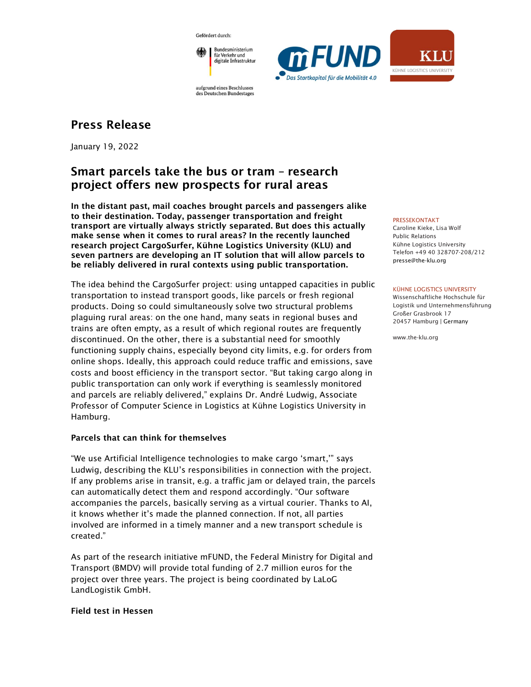Gefördert durch:



aufgrund eines Beschlusses des Deutschen Bundestages

# Press Release

January 19, 2022

# Smart parcels take the bus or tram – research project offers new prospects for rural areas

In the distant past, mail coaches brought parcels and passengers alike to their destination. Today, passenger transportation and freight transport are virtually always strictly separated. But does this actually make sense when it comes to rural areas? In the recently launched research project CargoSurfer, Kühne Logistics University (KLU) and seven partners are developing an IT solution that will allow parcels to be reliably delivered in rural contexts using public transportation.

The idea behind the CargoSurfer project: using untapped capacities in public transportation to instead transport goods, like parcels or fresh regional products. Doing so could simultaneously solve two structural problems plaguing rural areas: on the one hand, many seats in regional buses and trains are often empty, as a result of which regional routes are frequently discontinued. On the other, there is a substantial need for smoothly functioning supply chains, especially beyond city limits, e.g. for orders from online shops. Ideally, this approach could reduce traffic and emissions, save costs and boost efficiency in the transport sector. "But taking cargo along in public transportation can only work if everything is seamlessly monitored and parcels are reliably delivered," explains Dr. André Ludwig, Associate Professor of Computer Science in Logistics at Kühne Logistics University in Hamburg.

## Parcels that can think for themselves

"We use Artificial Intelligence technologies to make cargo 'smart,'" says Ludwig, describing the KLU's responsibilities in connection with the project. If any problems arise in transit, e.g. a traffic jam or delayed train, the parcels can automatically detect them and respond accordingly. "Our software accompanies the parcels, basically serving as a virtual courier. Thanks to AI, it knows whether it's made the planned connection. If not, all parties involved are informed in a timely manner and a new transport schedule is created."

As part of the research initiative mFUND, the Federal Ministry for Digital and Transport (BMDV) will provide total funding of 2.7 million euros for the project over three years. The project is being coordinated by LaLoG LandLogistik GmbH.

## Field test in Hessen



#### PRESSEKONTAKT

Caroline Kieke, Lisa Wolf Public Relations Kühne Logistics University Telefon +49 40 328707-208/212 presse@the-klu.org

#### KÜHNE LOGISTICS UNIVERSITY

Wissenschaftliche Hochschule für Logistik und Unternehmensführung Großer Grasbrook 17 20457 Hamburg | Germany

www.the-klu.org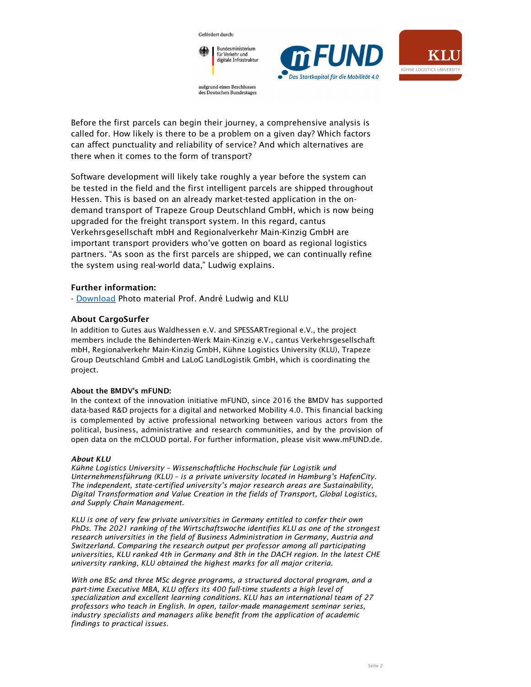







Before the first parcels can begin their journey, a comprehensive analysis is called for. How likely is there to be a problem on a given day? Which factors can affect punctuality and reliability of service? And which alternatives are there when it comes to the form of transport?

des Deutschen Bundestages

Software development will likely take roughly a year before the system can be tested in the field and the first intelligent parcels are shipped throughout Hessen. This is based on an already market-tested application in the ondemand transport of Trapeze Group Deutschland GmbH, which is now being upgraded for the freight transport system. In this regard, cantus Verkehrsgesellschaft mbH and Regionalverkehr Main-Kinzig GmbH are important transport providers who've gotten on board as regional logistics partners. "As soon as the first parcels are shipped, we can continually refine the system using real-world data," Ludwig explains.

## Further information:

- Download Photo material Prof. André Ludwig and KLU

## About CargoSurfer

In addition to Gutes aus Waldhessen e.V. and SPESSARTregional e.V., the project members include the Behinderten-Werk Main-Kinzig e.V., cantus Verkehrsgesellschaft mbH, Regionalverkehr Main-Kinzig GmbH, Kühne Logistics University (KLU), Trapeze Group Deutschland GmbH and LaLoG LandLogistik GmbH, which is coordinating the project.

### About the BMDV's mFUND:

In the context of the innovation initiative mFUND, since 2016 the BMDV has supported data-based R&D projects for a digital and networked Mobility 4.0. This financial backing is complemented by active professional networking between various actors from the political, business, administrative and research communities, and by the provision of open data on the mCLOUD portal. For further information, please visit www.mFUND.de.

### About KLU

Kühne Logistics University – Wissenschaftliche Hochschule für Logistik und Unternehmensführung (KLU) – is a private university located in Hamburg's HafenCity. The independent, state-certified university's major research areas are Sustainability, Digital Transformation and Value Creation in the fields of Transport, Global Logistics, and Supply Chain Management.

KLU is one of very few private universities in Germany entitled to confer their own PhDs. The 2021 ranking of the Wirtschaftswoche identifies KLU as one of the strongest research universities in the field of Business Administration in Germany, Austria and Switzerland. Comparing the research output per professor among all participating universities, KLU ranked 4th in Germany and 8th in the DACH region. In the latest CHE university ranking, KLU obtained the highest marks for all major criteria.

With one BSc and three MSc degree programs, a structured doctoral program, and a part-time Executive MBA, KLU offers its 400 full-time students a high level of specialization and excellent learning conditions. KLU has an international team of 27 professors who teach in English. In open, tailor-made management seminar series, industry specialists and managers alike benefit from the application of academic findings to practical issues.